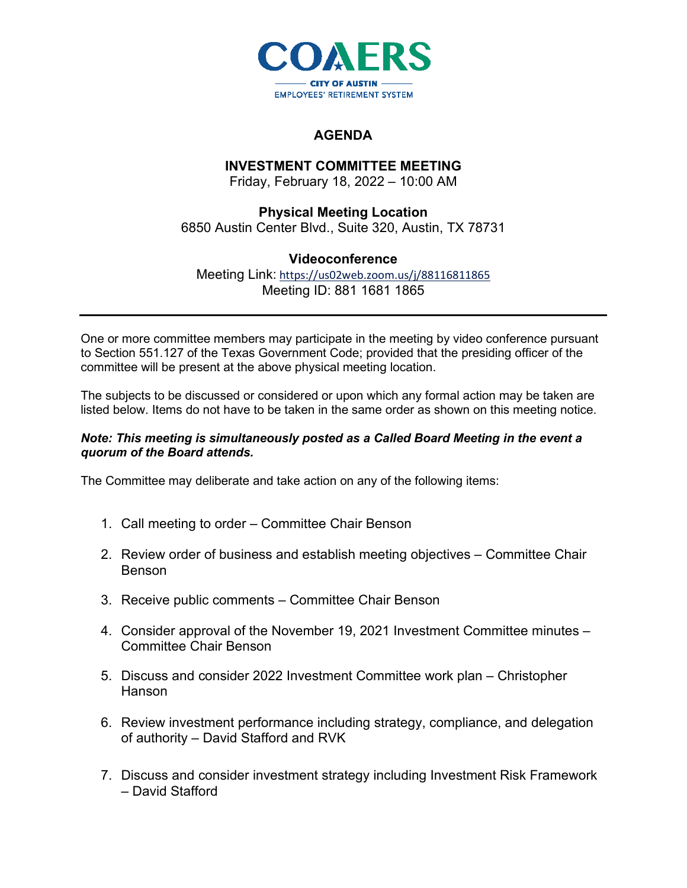

## **AGENDA**

## **INVESTMENT COMMITTEE MEETING**

Friday, February 18, 2022 – 10:00 AM

**Physical Meeting Location** 6850 Austin Center Blvd., Suite 320, Austin, TX 78731

## **Videoconference**

Meeting Link: <https://us02web.zoom.us/j/88116811865> Meeting ID: 881 1681 1865

One or more committee members may participate in the meeting by video conference pursuant to Section 551.127 of the Texas Government Code; provided that the presiding officer of the committee will be present at the above physical meeting location.

The subjects to be discussed or considered or upon which any formal action may be taken are listed below. Items do not have to be taken in the same order as shown on this meeting notice.

## *Note: This meeting is simultaneously posted as a Called Board Meeting in the event a quorum of the Board attends.*

The Committee may deliberate and take action on any of the following items:

- 1. Call meeting to order Committee Chair Benson
- 2. Review order of business and establish meeting objectives Committee Chair Benson
- 3. Receive public comments Committee Chair Benson
- 4. Consider approval of the November 19, 2021 Investment Committee minutes Committee Chair Benson
- 5. Discuss and consider 2022 Investment Committee work plan Christopher Hanson
- 6. Review investment performance including strategy, compliance, and delegation of authority – David Stafford and RVK
- 7. Discuss and consider investment strategy including Investment Risk Framework – David Stafford